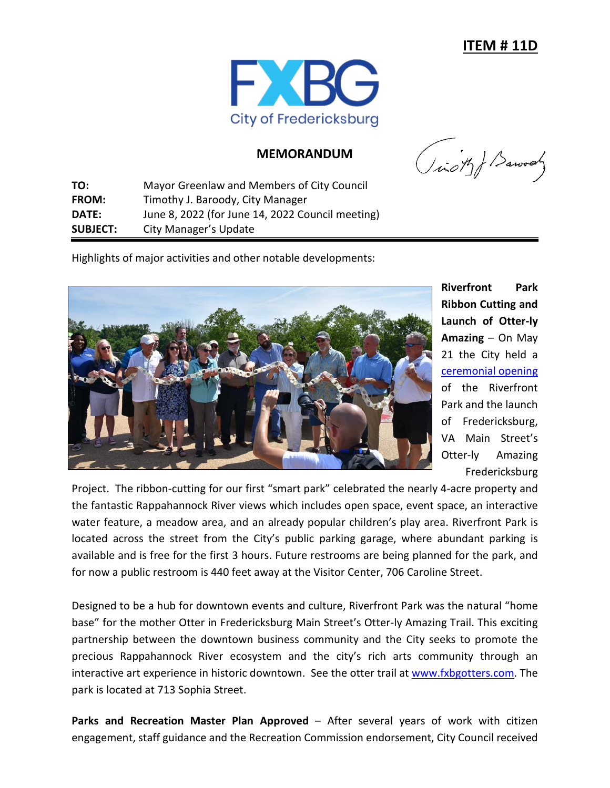

## **MEMORANDUM**

**TO:** Mayor Greenlaw and Members of City Council **FROM:** Timothy J. Baroody, City Manager **DATE:** June 8, 2022 (for June 14, 2022 Council meeting) **SUBJECT:** City Manager's Update

(icity) Barrows

Highlights of major activities and other notable developments:



**Riverfront Park Ribbon Cutting and Launch of Otter-ly Amazing** – On May 21 the City held a [ceremonial opening](http://www.fredericksburgva.gov/DocumentCenter/View/21291/Riverfront-Park-Ribbon-Cutting-Invite?bidId=) of the Riverfront Park and the launch of Fredericksburg, VA Main Street's Otter-ly Amazing Fredericksburg

Project. The ribbon-cutting for our first "smart park" celebrated the nearly 4-acre property and the fantastic Rappahannock River views which includes open space, event space, an interactive water feature, a meadow area, and an already popular children's play area. Riverfront Park is located across the street from the City's public parking garage, where abundant parking is available and is free for the first 3 hours. Future restrooms are being planned for the park, and for now a public restroom is 440 feet away at the Visitor Center, 706 Caroline Street.

Designed to be a hub for downtown events and culture, Riverfront Park was the natural "home base" for the mother Otter in Fredericksburg Main Street's Otter-ly Amazing Trail. This exciting partnership between the downtown business community and the City seeks to promote the precious Rappahannock River ecosystem and the city's rich arts community through an interactive art experience in historic downtown. See the otter trail at [www.fxbgotters.com.](http://www.fxbgotters.com/) The park is located at 713 Sophia Street.

**Parks and Recreation Master Plan Approved** – After several years of work with citizen engagement, staff guidance and the Recreation Commission endorsement, City Council received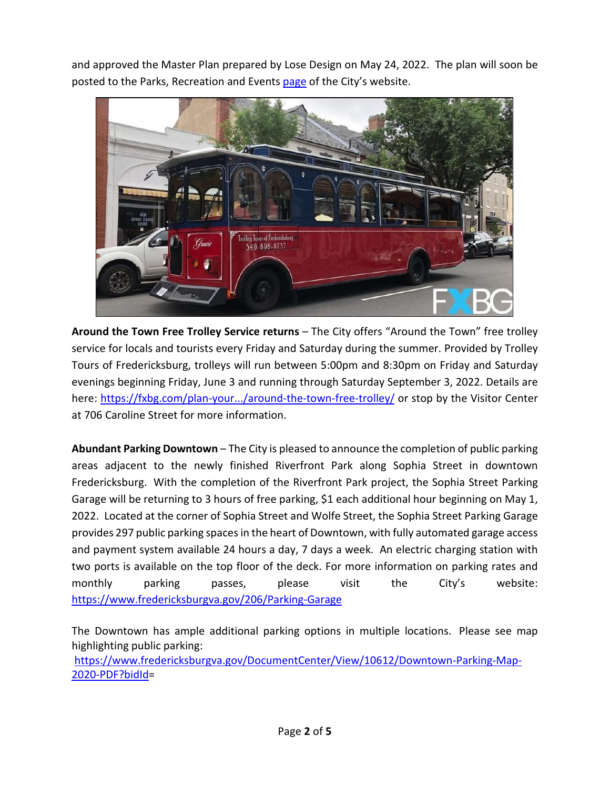and approved the Master Plan prepared by Lose Design on May 24, 2022. The plan will soon be posted to the Parks, Recreation and Events [page](https://www.fredericksburgva.gov/363/Parks-Recreation-Events) of the City's website.



**Around the Town Free Trolley Service returns** – The City offers "Around the Town" free trolley service for locals and tourists every Friday and Saturday during the summer. Provided by Trolley Tours of Fredericksburg, trolleys will run between 5:00pm and 8:30pm on Friday and Saturday evenings beginning Friday, June 3 and running through Saturday September 3, 2022. Details are here: [https://fxbg.com/plan-your.../around-the-town-free-trolley/](https://fxbg.com/plan-your-visit/around-the-town-free-trolley/?fbclid=IwAR1srsOa0wbjwCo_vWTSntC25rBo8D53xDcJYcN6IaH5_oRbf3Bn4pnSQNY) or stop by the Visitor Center at 706 Caroline Street for more information.

**Abundant Parking Downtown** – The City is pleased to announce the completion of public parking areas adjacent to the newly finished Riverfront Park along Sophia Street in downtown Fredericksburg. With the completion of the Riverfront Park project, the Sophia Street Parking Garage will be returning to 3 hours of free parking, \$1 each additional hour beginning on May 1, 2022. Located at the corner of Sophia Street and Wolfe Street, the Sophia Street Parking Garage provides 297 public parking spaces in the heart of Downtown, with fully automated garage access and payment system available 24 hours a day, 7 days a week. An electric charging station with two ports is available on the top floor of the deck. For more information on parking rates and monthly parking passes, please visit the City's website: <https://www.fredericksburgva.gov/206/Parking-Garage>

The Downtown has ample additional parking options in multiple locations. Please see map highlighting public parking: [https://www.fredericksburgva.gov/DocumentCenter/View/10612/Downtown-Parking-Map-](https://www.fredericksburgva.gov/DocumentCenter/View/10612/Downtown-Parking-Map-2020-PDF?bidId)

```
2020-PDF?bidId=
```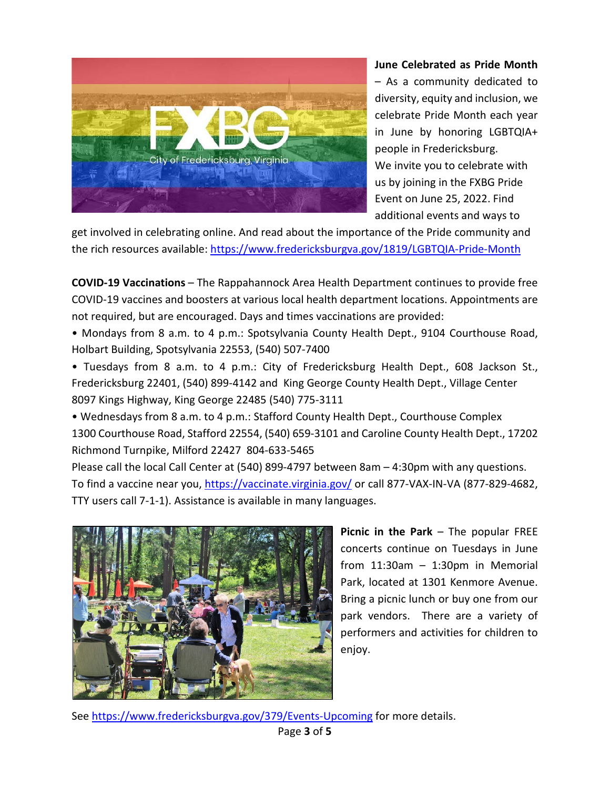

## **June Celebrated as Pride Month**

– As a community dedicated to diversity, equity and inclusion, we celebrate Pride Month each year in June by honoring LGBTQIA+ people in Fredericksburg. We invite you to celebrate with us by joining in the FXBG Pride Event on June 25, 2022. Find additional events and ways to

get involved in celebrating online. And read about the importance of the Pride community and the rich resources available: [https://www.fredericksburgva.gov/1819/LGBTQIA-Pride-Month](https://www.fredericksburgva.gov/1819/LGBTQIA-Pride-Month?fbclid=IwAR3zxLBvzqfFHGAvgMkq4Am4X6IwdLYag0nHo9CUAxvG_gyW1ePrQyLtUQw)

**COVID-19 Vaccinations** – The Rappahannock Area Health Department continues to provide free COVID-19 vaccines and boosters at various local health department locations. Appointments are not required, but are encouraged. Days and times vaccinations are provided:

• Mondays from 8 a.m. to 4 p.m.: Spotsylvania County Health Dept., 9104 Courthouse Road, Holbart Building, Spotsylvania 22553, (540) 507-7400

• Tuesdays from 8 a.m. to 4 p.m.: City of Fredericksburg Health Dept., 608 Jackson St., Fredericksburg 22401, (540) 899-4142 and King George County Health Dept., Village Center 8097 Kings Highway, King George 22485 (540) 775-3111

• Wednesdays from 8 a.m. to 4 p.m.: Stafford County Health Dept., Courthouse Complex 1300 Courthouse Road, Stafford 22554, (540) 659-3101 and Caroline County Health Dept., 17202 Richmond Turnpike, Milford 22427 804-633-5465

Please call the local Call Center at (540) 899-4797 between 8am – 4:30pm with any questions. To find a vaccine near you, [https://vaccinate.virginia.gov/](https://vaccinate.virginia.gov/?fbclid=IwAR0WAobfGRV9d3S9q_G8vnYibX4laSFE4XH-3EPTyljv5eAE8pyn0CsXJXk) or call 877-VAX-IN-VA (877-829-4682, TTY users call 7-1-1). Assistance is available in many languages.



**Picnic in the Park** – The popular FREE concerts continue on Tuesdays in June from  $11:30$ am -  $1:30$ pm in Memorial Park, located at 1301 Kenmore Avenue. Bring a picnic lunch or buy one from our park vendors. There are a variety of performers and activities for children to enjoy.

See<https://www.fredericksburgva.gov/379/Events-Upcoming> for more details.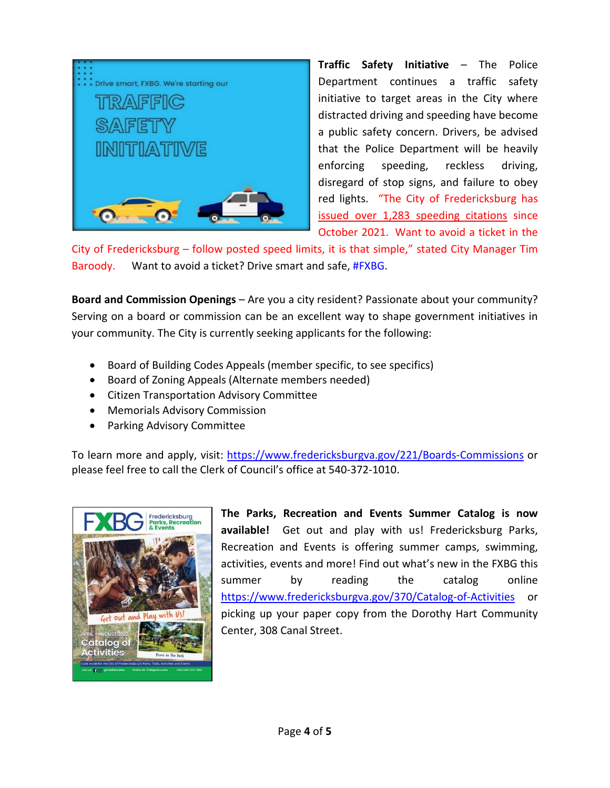

**Traffic Safety Initiative** – The Police Department continues a traffic safety initiative to target areas in the City where distracted driving and speeding have become a public safety concern. Drivers, be advised that the Police Department will be heavily enforcing speeding, reckless driving, disregard of stop signs, and failure to obey red lights. "The City of Fredericksburg has issued over 1,283 speeding citations since October 2021. Want to avoid a ticket in the

City of Fredericksburg – follow posted speed limits, it is that simple," stated City Manager Tim Baroody. Want to avoid a ticket? Drive smart and safe, [#FXBG.](https://www.facebook.com/hashtag/fxbg?__eep__=6&__cft__%5b0%5d=AZWMm412bROIAlbQjxD2trcL3Q6v8XYnqGiab-pzxHyZlK2AO3wgxGBRUI7RVwNBLZmZ2AFcmkMI1noIapNQk5FV0YxTW81lYx9j2ZUaF9IJx3uquxKREP9bHkNftL_yP_oJd-S6PtYkPbEURGNVAWGUif-leaDtL7Fd9G0WEMmZNw&__tn__=*NK-R)

**Board and Commission Openings** – Are you a city resident? Passionate about your community? Serving on a board or commission can be an excellent way to shape government initiatives in your community. The City is currently seeking applicants for the following:

- Board of Building Codes Appeals (member specific, to see specifics)
- Board of Zoning Appeals (Alternate members needed)
- Citizen Transportation Advisory Committee
- Memorials Advisory Commission
- Parking Advisory Committee

To learn more and apply, visit: [https://www.fredericksburgva.gov/221/Boards-Commissions](https://www.fredericksburgva.gov/221/Boards-Commissions?fbclid=IwAR3Swf9IZu1tYdO_SK6yHxjMXxdd4Ba6LVkEpP0zTgegU6_SRsXEh2JIYGY) or please feel free to call the Clerk of Council's office at 540-372-1010.



**The Parks, Recreation and Events Summer Catalog is now available!** Get out and play with us! Fredericksburg Parks, Recreation and Events is offering summer camps, swimming, activities, events and more! Find out what's new in the FXBG this summer by reading the catalog online <https://www.fredericksburgva.gov/370/Catalog-of-Activities> or picking up your paper copy from the Dorothy Hart Community Center, 308 Canal Street.